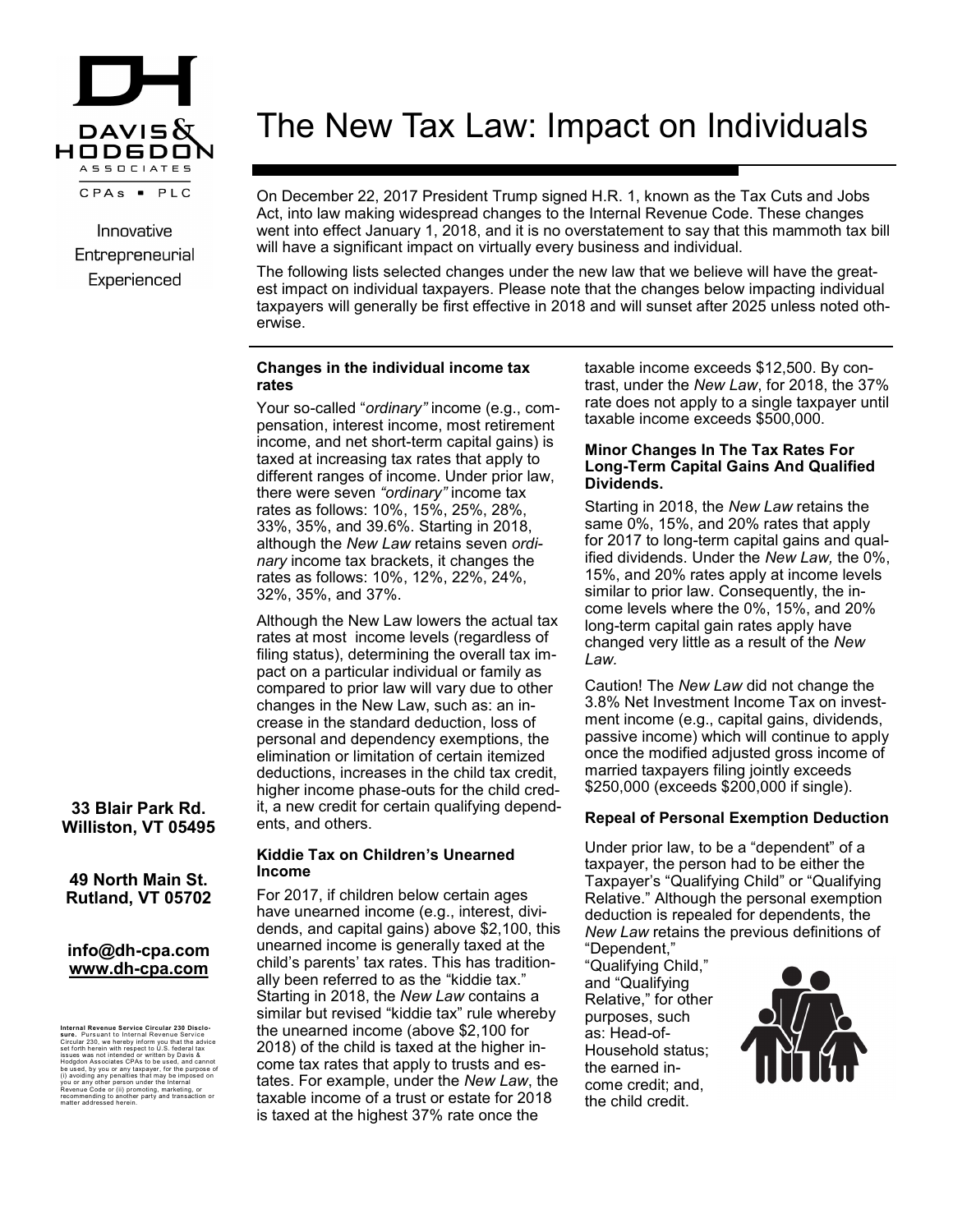

Innovative Entrepreneurial Experienced

# **33 Blair Park Rd. Williston, VT 05495**

## **49 North Main St. Rutland, VT 05702**

## **info@dh-cpa.com www.dh-cpa.com**

**Internal Revenue Service Circular 230 Disclo-<br><b>sure.** Pursuant to Internal Revenue Service<br>Circular 230, we hereby inform you that the advice<br>set forth herein with respect to U.S. federal tax issues was not intended or written by Davis &<br>Hodgdon Associates CPAs to be used, and cannot<br>be used, by you or any taxpayer, for the purpose of<br>(i) avoiding any penalties that may be imposed on<br>you or any other person und Revenue Code or (ii) promoting, marketing, or recommending to another party and transaction or matter addressed herein.

# The New Tax Law: Impact on Individuals

On December 22, 2017 President Trump signed H.R. 1, known as the Tax Cuts and Jobs Act, into law making widespread changes to the Internal Revenue Code. These changes went into effect January 1, 2018, and it is no overstatement to say that this mammoth tax bill will have a significant impact on virtually every business and individual.

The following lists selected changes under the new law that we believe will have the greatest impact on individual taxpayers. Please note that the changes below impacting individual taxpayers will generally be first effective in 2018 and will sunset after 2025 unless noted otherwise.

#### **Changes in the individual income tax rates**

Your so-called "*ordinary"* income (e.g., compensation, interest income, most retirement income, and net short-term capital gains) is taxed at increasing tax rates that apply to different ranges of income. Under prior law, there were seven *"ordinary"* income tax rates as follows: 10%, 15%, 25%, 28%, 33%, 35%, and 39.6%. Starting in 2018, although the *New Law* retains seven *ordinary* income tax brackets, it changes the rates as follows: 10%, 12%, 22%, 24%, 32%, 35%, and 37%.

Although the New Law lowers the actual tax rates at most income levels (regardless of filing status), determining the overall tax impact on a particular individual or family as compared to prior law will vary due to other changes in the New Law, such as: an increase in the standard deduction, loss of personal and dependency exemptions, the elimination or limitation of certain itemized deductions, increases in the child tax credit, higher income phase-outs for the child credit, a new credit for certain qualifying dependents, and others.

#### **Kiddie Tax on Children's Unearned Income**

For 2017, if children below certain ages have unearned income (e.g., interest, dividends, and capital gains) above \$2,100, this unearned income is generally taxed at the child's parents' tax rates. This has traditionally been referred to as the "kiddie tax." Starting in 2018, the *New Law* contains a similar but revised "kiddie tax" rule whereby the unearned income (above \$2,100 for 2018) of the child is taxed at the higher income tax rates that apply to trusts and estates. For example, under the *New Law*, the taxable income of a trust or estate for 2018 is taxed at the highest 37% rate once the

taxable income exceeds \$12,500. By contrast, under the *New Law*, for 2018, the 37% rate does not apply to a single taxpayer until taxable income exceeds \$500,000.

## **Minor Changes In The Tax Rates For Long-Term Capital Gains And Qualified Dividends.**

Starting in 2018, the *New Law* retains the same 0%, 15%, and 20% rates that apply for 2017 to long-term capital gains and qualified dividends. Under the *New Law,* the 0%, 15%, and 20% rates apply at income levels similar to prior law. Consequently, the income levels where the 0%, 15%, and 20% long-term capital gain rates apply have changed very little as a result of the *New Law.*

Caution! The *New Law* did not change the 3.8% Net Investment Income Tax on investment income (e.g., capital gains, dividends, passive income) which will continue to apply once the modified adjusted gross income of married taxpayers filing jointly exceeds \$250,000 (exceeds \$200,000 if single).

# **Repeal of Personal Exemption Deduction**

Under prior law, to be a "dependent" of a taxpayer, the person had to be either the Taxpayer's "Qualifying Child" or "Qualifying Relative." Although the personal exemption deduction is repealed for dependents, the *New Law* retains the previous definitions of "Dependent,"

"Qualifying Child," and "Qualifying Relative," for other purposes, such as: Head-of-Household status; the earned income credit; and, the child credit.

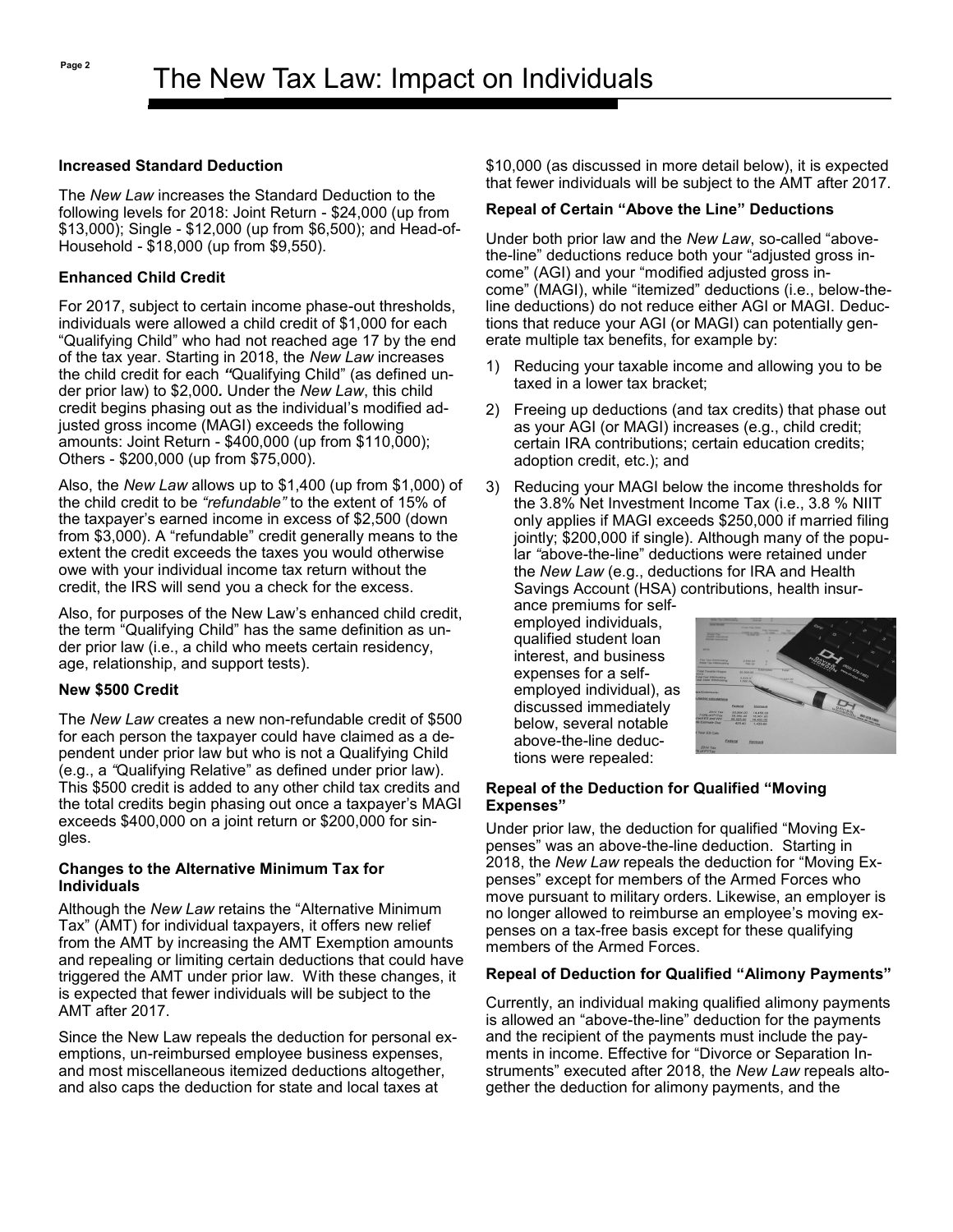## **Increased Standard Deduction**

The *New Law* increases the Standard Deduction to the following levels for 2018: Joint Return - \$24,000 (up from \$13,000); Single - \$12,000 (up from \$6,500); and Head-of-Household - \$18,000 (up from \$9,550).

# **Enhanced Child Credit**

For 2017, subject to certain income phase-out thresholds, individuals were allowed a child credit of \$1,000 for each "Qualifying Child" who had not reached age 17 by the end of the tax year. Starting in 2018, the *New Law* increases the child credit for each *"*Qualifying Child" (as defined under prior law) to \$2,000*.* Under the *New Law*, this child credit begins phasing out as the individual's modified adjusted gross income (MAGI) exceeds the following amounts: Joint Return - \$400,000 (up from \$110,000); Others - \$200,000 (up from \$75,000).

Also, the *New Law* allows up to \$1,400 (up from \$1,000) of the child credit to be *"refundable"* to the extent of 15% of the taxpayer's earned income in excess of \$2,500 (down from \$3,000). A "refundable" credit generally means to the extent the credit exceeds the taxes you would otherwise owe with your individual income tax return without the credit, the IRS will send you a check for the excess.

Also, for purposes of the New Law's enhanced child credit, the term "Qualifying Child" has the same definition as under prior law (i.e., a child who meets certain residency, age, relationship, and support tests).

# **New \$500 Credit**

The *New Law* creates a new non-refundable credit of \$500 for each person the taxpayer could have claimed as a dependent under prior law but who is not a Qualifying Child (e.g., a *"*Qualifying Relative" as defined under prior law). This \$500 credit is added to any other child tax credits and the total credits begin phasing out once a taxpayer's MAGI exceeds \$400,000 on a joint return or \$200,000 for singles.

#### **Changes to the Alternative Minimum Tax for Individuals**

Although the *New Law* retains the "Alternative Minimum Tax" (AMT) for individual taxpayers, it offers new relief from the AMT by increasing the AMT Exemption amounts and repealing or limiting certain deductions that could have triggered the AMT under prior law. With these changes, it is expected that fewer individuals will be subject to the AMT after 2017.

Since the New Law repeals the deduction for personal exemptions, un-reimbursed employee business expenses, and most miscellaneous itemized deductions altogether, and also caps the deduction for state and local taxes at

\$10,000 (as discussed in more detail below), it is expected that fewer individuals will be subject to the AMT after 2017.

# **Repeal of Certain "Above the Line" Deductions**

Under both prior law and the *New Law*, so-called "abovethe-line" deductions reduce both your "adjusted gross income" (AGI) and your "modified adjusted gross income" (MAGI), while "itemized" deductions (i.e., below-theline deductions) do not reduce either AGI or MAGI. Deductions that reduce your AGI (or MAGI) can potentially generate multiple tax benefits, for example by:

- 1) Reducing your taxable income and allowing you to be taxed in a lower tax bracket;
- 2) Freeing up deductions (and tax credits) that phase out as your AGI (or MAGI) increases (e.g., child credit; certain IRA contributions; certain education credits; adoption credit, etc.); and
- 3) Reducing your MAGI below the income thresholds for the 3.8% Net Investment Income Tax (i.e., 3.8 % NIIT only applies if MAGI exceeds \$250,000 if married filing jointly; \$200,000 if single). Although many of the popular *"*above-the-line" deductions were retained under the *New Law* (e.g., deductions for IRA and Health Savings Account (HSA) contributions, health insur-

ance premiums for selfemployed individuals, qualified student loan interest, and business expenses for a selfemployed individual), as discussed immediately below, several notable above-the-line deductions were repealed:



## **Repeal of the Deduction for Qualified "Moving Expenses"**

Under prior law, the deduction for qualified "Moving Expenses" was an above-the-line deduction. Starting in 2018, the *New Law* repeals the deduction for "Moving Expenses" except for members of the Armed Forces who move pursuant to military orders. Likewise, an employer is no longer allowed to reimburse an employee's moving expenses on a tax-free basis except for these qualifying members of the Armed Forces.

# **Repeal of Deduction for Qualified "Alimony Payments"**

Currently, an individual making qualified alimony payments is allowed an "above-the-line" deduction for the payments and the recipient of the payments must include the payments in income. Effective for "Divorce or Separation Instruments" executed after 2018, the *New Law* repeals altogether the deduction for alimony payments, and the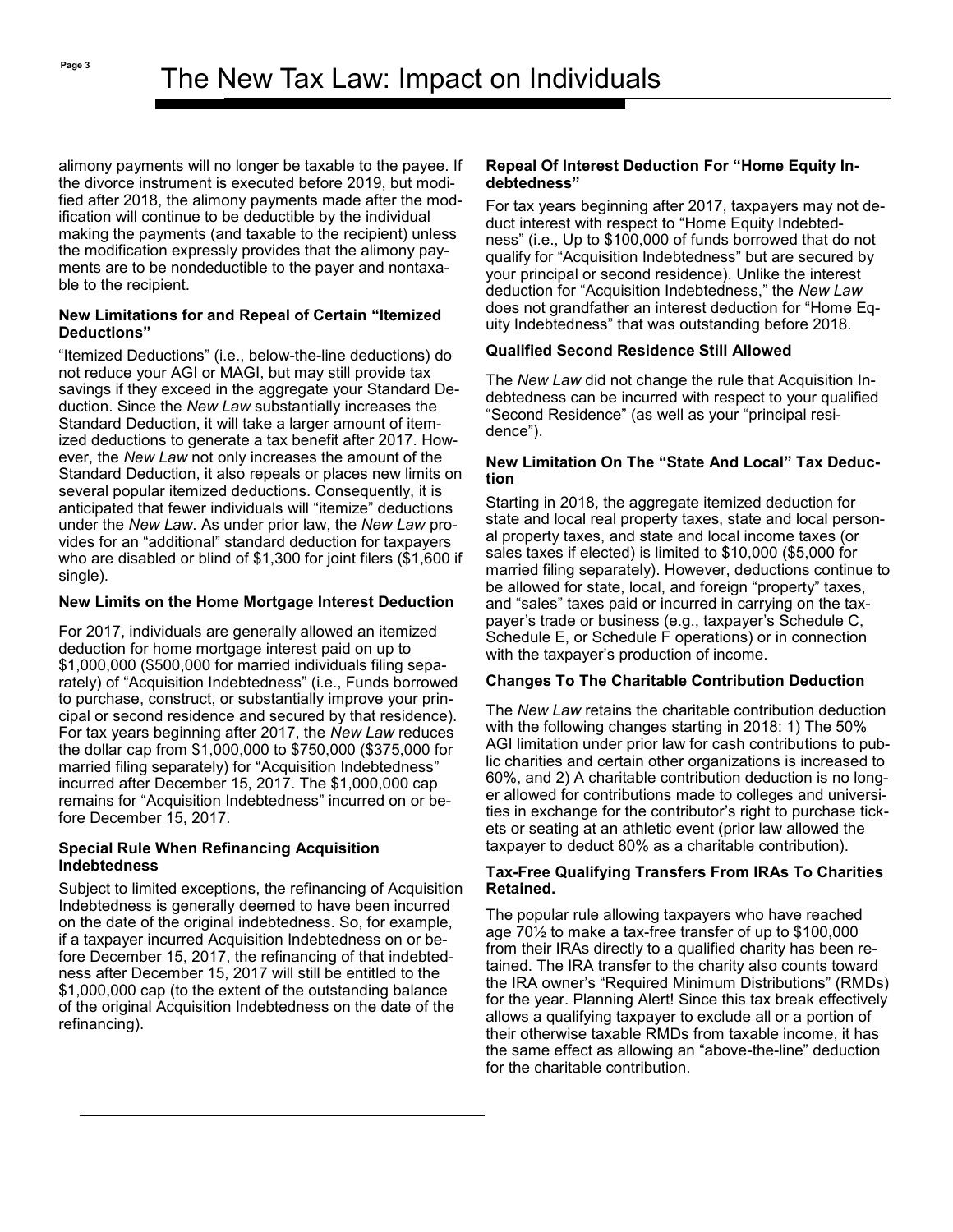alimony payments will no longer be taxable to the payee. If the divorce instrument is executed before 2019, but modified after 2018, the alimony payments made after the modification will continue to be deductible by the individual making the payments (and taxable to the recipient) unless the modification expressly provides that the alimony payments are to be nondeductible to the payer and nontaxable to the recipient.

## **New Limitations for and Repeal of Certain "Itemized Deductions"**

"Itemized Deductions" (i.e., below-the-line deductions) do not reduce your AGI or MAGI, but may still provide tax savings if they exceed in the aggregate your Standard Deduction. Since the *New Law* substantially increases the Standard Deduction, it will take a larger amount of itemized deductions to generate a tax benefit after 2017. However, the *New Law* not only increases the amount of the Standard Deduction, it also repeals or places new limits on several popular itemized deductions. Consequently, it is anticipated that fewer individuals will "itemize" deductions under the *New Law*. As under prior law, the *New Law* provides for an "additional" standard deduction for taxpayers who are disabled or blind of \$1,300 for joint filers (\$1,600 if single).

## **New Limits on the Home Mortgage Interest Deduction**

For 2017, individuals are generally allowed an itemized deduction for home mortgage interest paid on up to \$1,000,000 (\$500,000 for married individuals filing separately) of "Acquisition Indebtedness" (i.e., Funds borrowed to purchase, construct, or substantially improve your principal or second residence and secured by that residence). For tax years beginning after 2017, the *New Law* reduces the dollar cap from \$1,000,000 to \$750,000 (\$375,000 for married filing separately) for "Acquisition Indebtedness" incurred after December 15, 2017. The \$1,000,000 cap remains for "Acquisition Indebtedness" incurred on or before December 15, 2017.

#### **Special Rule When Refinancing Acquisition Indebtedness**

news are become the start will call be entitled to the \$1,000,000 cap (to the extent of the outstanding balance of the original Acquisition Indebtedness on the date of the  $\epsilon$  refinancing). Recipients show act on the information pre-Subject to limited exceptions, the refinancing of Acquisition Indebtedness is generally deemed to have been incurred on the date of the original indebtedness. So, for example, if a taxpayer incurred Acquisition Indebtedness on or before December 15, 2017, the refinancing of that indebtedness after December 15, 2017 will still be entitled to the

#### **Repeal Of Interest Deduction For "Home Equity Indebtedness"**

For tax years beginning after 2017, taxpayers may not deduct interest with respect to "Home Equity Indebtedness" (i.e., Up to \$100,000 of funds borrowed that do not qualify for "Acquisition Indebtedness" but are secured by your principal or second residence). Unlike the interest deduction for "Acquisition Indebtedness," the *New Law*  does not grandfather an interest deduction for "Home Equity Indebtedness" that was outstanding before 2018.

# **Qualified Second Residence Still Allowed**

The *New Law* did not change the rule that Acquisition Indebtedness can be incurred with respect to your qualified "Second Residence" (as well as your "principal residence").

## **New Limitation On The "State And Local" Tax Deduction**

Starting in 2018, the aggregate itemized deduction for state and local real property taxes, state and local personal property taxes, and state and local income taxes (or sales taxes if elected) is limited to \$10,000 (\$5,000 for married filing separately). However, deductions continue to be allowed for state, local, and foreign "property" taxes, and "sales" taxes paid or incurred in carrying on the taxpayer's trade or business (e.g., taxpayer's Schedule C, Schedule E, or Schedule F operations) or in connection with the taxpayer's production of income.

# **Changes To The Charitable Contribution Deduction**

The *New Law* retains the charitable contribution deduction with the following changes starting in 2018: 1) The 50% AGI limitation under prior law for cash contributions to public charities and certain other organizations is increased to 60%, and 2) A charitable contribution deduction is no longer allowed for contributions made to colleges and universities in exchange for the contributor's right to purchase tickets or seating at an athletic event (prior law allowed the taxpayer to deduct 80% as a charitable contribution).

#### **Tax-Free Qualifying Transfers From IRAs To Charities Retained.**

The popular rule allowing taxpayers who have reached age 70½ to make a tax-free transfer of up to \$100,000 from their IRAs directly to a qualified charity has been retained. The IRA transfer to the charity also counts toward the IRA owner's "Required Minimum Distributions" (RMDs) for the year. Planning Alert! Since this tax break effectively allows a qualifying taxpayer to exclude all or a portion of their otherwise taxable RMDs from taxable income, it has the same effect as allowing an "above-the-line" deduction for the charitable contribution.